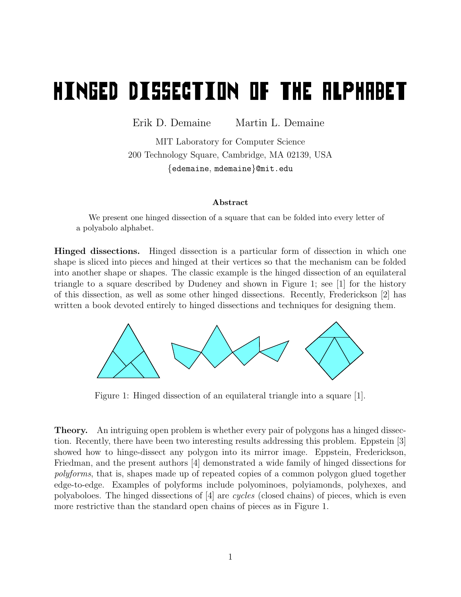## **HINGED DISSECTION OF THE ALPHABET**

Erik D. Demaine Martin L. Demaine

MIT Laboratory for Computer Science 200 Technology Square, Cambridge, MA 02139, USA {edemaine, mdemaine}@mit.edu

## Abstract

We present one hinged dissection of a square that can be folded into every letter of a polyabolo alphabet.

Hinged dissections. Hinged dissection is a particular form of dissection in which one shape is sliced into pieces and hinged at their vertices so that the mechanism can be folded into another shape or shapes. The classic example is the hinged dissection of an equilateral triangle to a square described by Dudeney and shown in Figure 1; see [1] for the history of this dissection, as well as some other hinged dissections. Recently, Frederickson [2] has written a book devoted entirely to hinged dissections and techniques for designing them.



Figure 1: Hinged dissection of an equilateral triangle into a square [1].

Theory. An intriguing open problem is whether every pair of polygons has a hinged dissection. Recently, there have been two interesting results addressing this problem. Eppstein [3] showed how to hinge-dissect any polygon into its mirror image. Eppstein, Frederickson, Friedman, and the present authors [4] demonstrated a wide family of hinged dissections for polyforms, that is, shapes made up of repeated copies of a common polygon glued together edge-to-edge. Examples of polyforms include polyominoes, polyiamonds, polyhexes, and polyaboloes. The hinged dissections of  $[4]$  are *cycles* (closed chains) of pieces, which is even more restrictive than the standard open chains of pieces as in Figure 1.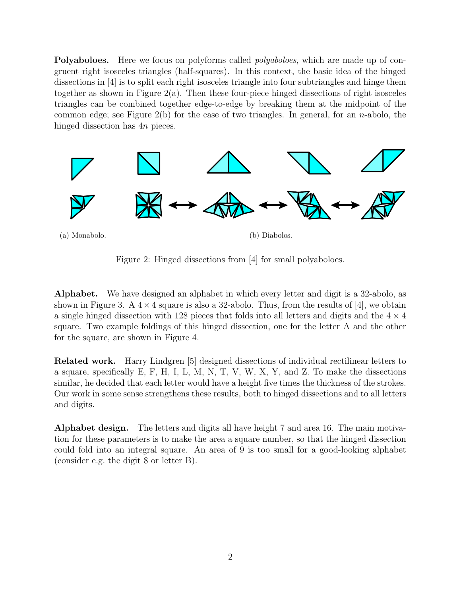Polyaboloes. Here we focus on polyforms called *polyaboloes*, which are made up of congruent right isosceles triangles (half-squares). In this context, the basic idea of the hinged dissections in [4] is to split each right isosceles triangle into four subtriangles and hinge them together as shown in Figure 2(a). Then these four-piece hinged dissections of right isosceles triangles can be combined together edge-to-edge by breaking them at the midpoint of the common edge; see Figure  $2(b)$  for the case of two triangles. In general, for an *n*-abolo, the hinged dissection has 4*n* pieces.



Figure 2: Hinged dissections from [4] for small polyaboloes.

Alphabet. We have designed an alphabet in which every letter and digit is a 32-abolo, as shown in Figure 3. A  $4 \times 4$  square is also a 32-abolo. Thus, from the results of [4], we obtain a single hinged dissection with 128 pieces that folds into all letters and digits and the  $4 \times 4$ square. Two example foldings of this hinged dissection, one for the letter A and the other for the square, are shown in Figure 4.

Related work. Harry Lindgren [5] designed dissections of individual rectilinear letters to a square, specifically E, F, H, I, L, M, N, T, V, W, X, Y, and Z. To make the dissections similar, he decided that each letter would have a height five times the thickness of the strokes. Our work in some sense strengthens these results, both to hinged dissections and to all letters and digits.

Alphabet design. The letters and digits all have height 7 and area 16. The main motivation for these parameters is to make the area a square number, so that the hinged dissection could fold into an integral square. An area of 9 is too small for a good-looking alphabet (consider e.g. the digit 8 or letter B).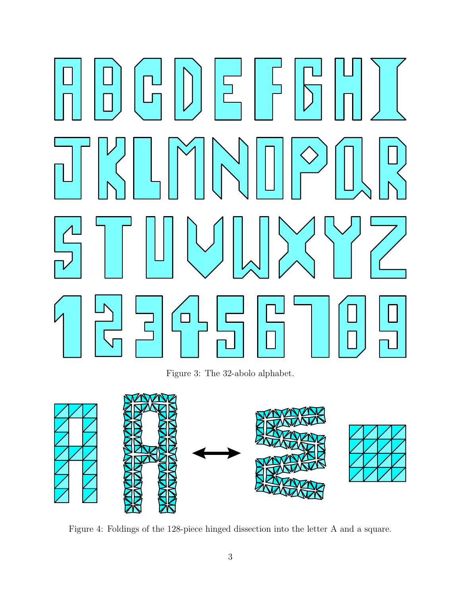## $\overline{5}$  $\Box$

Figure 3: The 32-abolo alphabet.



Figure 4: Foldings of the 128-piece hinged dissection into the letter A and a square.